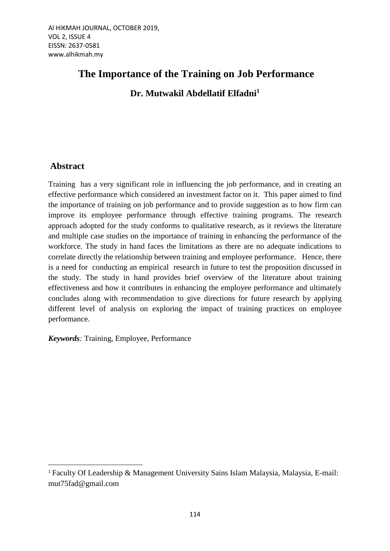# **The Importance of the Training on Job Performance Dr. Mutwakil Abdellatif Elfadni<sup>1</sup>**

# **Abstract**

 $\ddot{\phantom{a}}$ 

Training has a very significant role in influencing the job performance, and in creating an effective performance which considered an investment factor on it. This paper aimed to find the importance of training on job performance and to provide suggestion as to how firm can improve its employee performance through effective training programs. The research approach adopted for the study conforms to qualitative research, as it reviews the literature and multiple case studies on the importance of training in enhancing the performance of the workforce. The study in hand faces the limitations as there are no adequate indications to correlate directly the relationship between training and employee performance. Hence, there is a need for conducting an empirical research in future to test the proposition discussed in the study. The study in hand provides brief overview of the literature about training effectiveness and how it contributes in enhancing the employee performance and ultimately concludes along with recommendation to give directions for future research by applying different level of analysis on exploring the impact of training practices on employee performance.

*Keywords:* Training, Employee, Performance

<sup>&</sup>lt;sup>1</sup> [Faculty Of Leadership & Management Un](http://fkp.usim.edu.my/)iversity Sains Islam Malaysia, Malaysia, E-mail: mut75fad@gmail.com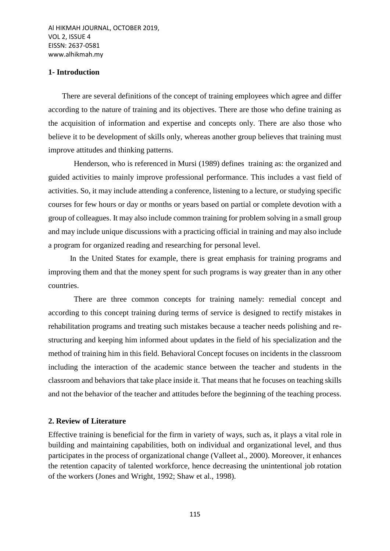#### **1- Introduction**

 There are several definitions of the concept of training employees which agree and differ according to the nature of training and its objectives. There are those who define training as the acquisition of information and expertise and concepts only. There are also those who believe it to be development of skills only, whereas another group believes that training must improve attitudes and thinking patterns.

 Henderson, who is referenced in Mursi (1989) defines training as: the organized and guided activities to mainly improve professional performance. This includes a vast field of activities. So, it may include attending a conference, listening to a lecture, or studying specific courses for few hours or day or months or years based on partial or complete devotion with a group of colleagues. It may also include common training for problem solving in a small group and may include unique discussions with a practicing official in training and may also include a program for organized reading and researching for personal level.

 In the United States for example, there is great emphasis for training programs and improving them and that the money spent for such programs is way greater than in any other countries.

 There are three common concepts for training namely: remedial concept and according to this concept training during terms of service is designed to rectify mistakes in rehabilitation programs and treating such mistakes because a teacher needs polishing and restructuring and keeping him informed about updates in the field of his specialization and the method of training him in this field. Behavioral Concept focuses on incidents in the classroom including the interaction of the academic stance between the teacher and students in the classroom and behaviors that take place inside it. That means that he focuses on teaching skills and not the behavior of the teacher and attitudes before the beginning of the teaching process.

#### **2. Review of Literature**

Effective training is beneficial for the firm in variety of ways, such as, it plays a vital role in building and maintaining capabilities, both on individual and organizational level, and thus participates in the process of organizational change (Valleet al., 2000). Moreover, it enhances the retention capacity of talented workforce, hence decreasing the unintentional job rotation of the workers (Jones and Wright, 1992; Shaw et al., 1998).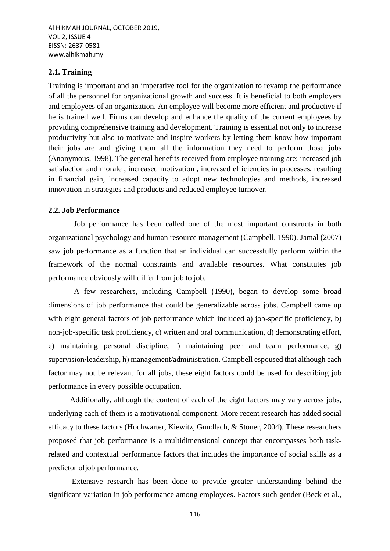#### **2.1. Training**

Training is important and an imperative tool for the organization to revamp the performance of all the personnel for organizational growth and success. It is beneficial to both employers and employees of an organization. An employee will become more efficient and productive if he is trained well. Firms can develop and enhance the quality of the current employees by providing comprehensive training and development. Training is essential not only to increase productivity but also to motivate and inspire workers by letting them know how important their jobs are and giving them all the information they need to perform those jobs (Anonymous, 1998). The general benefits received from employee training are: increased job satisfaction and morale , increased motivation , increased efficiencies in processes, resulting in financial gain, increased capacity to adopt new technologies and methods, increased innovation in strategies and products and reduced employee turnover.

#### **2.2. Job Performance**

 Job performance has been called one of the most important constructs in both organizational psychology and human resource management (Campbell, 1990). Jamal (2007) saw job performance as a function that an individual can successfully perform within the framework of the normal constraints and available resources. What constitutes job performance obviously will differ from job to job.

 A few researchers, including Campbell (1990), began to develop some broad dimensions of job performance that could be generalizable across jobs. Campbell came up with eight general factors of job performance which included a) job-specific proficiency, b) non-job-specific task proficiency, c) written and oral communication, d) demonstrating effort, e) maintaining personal discipline, f) maintaining peer and team performance, g) supervision/leadership, h) management/administration. Campbell espoused that although each factor may not be relevant for all jobs, these eight factors could be used for describing job performance in every possible occupation.

 Additionally, although the content of each of the eight factors may vary across jobs, underlying each of them is a motivational component. More recent research has added social efficacy to these factors (Hochwarter, Kiewitz, Gundlach, & Stoner, 2004). These researchers proposed that job performance is a multidimensional concept that encompasses both taskrelated and contextual performance factors that includes the importance of social skills as a predictor ofjob performance.

 Extensive research has been done to provide greater understanding behind the significant variation in job performance among employees. Factors such gender (Beck et al.,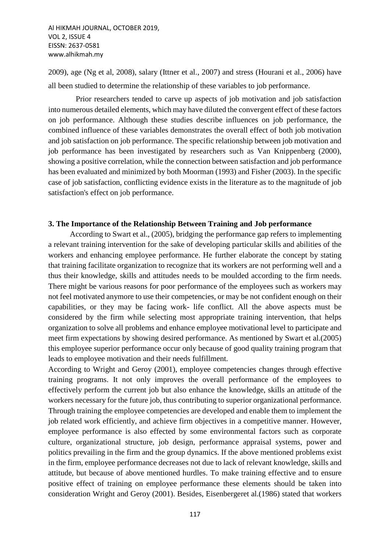2009), age (Ng et al, 2008), salary (Ittner et al., 2007) and stress (Hourani et al., 2006) have all been studied to determine the relationship of these variables to job performance.

 Prior researchers tended to carve up aspects of job motivation and job satisfaction into numerous detailed elements, which may have diluted the convergent effect of these factors on job performance. Although these studies describe influences on job performance, the combined influence of these variables demonstrates the overall effect of both job motivation and job satisfaction on job performance. The specific relationship between job motivation and job performance has been investigated by researchers such as Van Knippenberg (2000), showing a positive correlation, while the connection between satisfaction and job performance has been evaluated and minimized by both Moorman (1993) and Fisher (2003). In the specific case of job satisfaction, conflicting evidence exists in the literature as to the magnitude of job satisfaction's effect on job performance.

#### **3. The Importance of the Relationship Between Training and Job performance**

 According to Swart et al., (2005), bridging the performance gap refers to implementing a relevant training intervention for the sake of developing particular skills and abilities of the workers and enhancing employee performance. He further elaborate the concept by stating that training facilitate organization to recognize that its workers are not performing well and a thus their knowledge, skills and attitudes needs to be moulded according to the firm needs. There might be various reasons for poor performance of the employees such as workers may not feel motivated anymore to use their competencies, or may be not confident enough on their capabilities, or they may be facing work- life conflict. All the above aspects must be considered by the firm while selecting most appropriate training intervention, that helps organization to solve all problems and enhance employee motivational level to participate and meet firm expectations by showing desired performance. As mentioned by Swart et al.(2005) this employee superior performance occur only because of good quality training program that leads to employee motivation and their needs fulfillment.

According to Wright and Geroy (2001), employee competencies changes through effective training programs. It not only improves the overall performance of the employees to effectively perform the current job but also enhance the knowledge, skills an attitude of the workers necessary for the future job, thus contributing to superior organizational performance. Through training the employee competencies are developed and enable them to implement the job related work efficiently, and achieve firm objectives in a competitive manner. However, employee performance is also effected by some environmental factors such as corporate culture, organizational structure, job design, performance appraisal systems, power and politics prevailing in the firm and the group dynamics. If the above mentioned problems exist in the firm, employee performance decreases not due to lack of relevant knowledge, skills and attitude, but because of above mentioned hurdles. To make training effective and to ensure positive effect of training on employee performance these elements should be taken into consideration Wright and Geroy (2001). Besides, Eisenbergeret al.(1986) stated that workers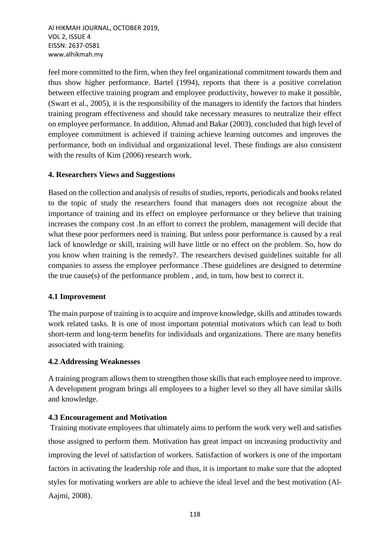feel more committed to the firm, when they feel organizational commitment towards them and thus show higher performance. Bartel (1994), reports that there is a positive correlation between effective training program and employee productivity, however to make it possible, (Swart et al., 2005), it is the responsibility of the managers to identify the factors that hinders training program effectiveness and should take necessary measures to neutralize their effect on employee performance. In addition, Ahmad and Bakar (2003), concluded that high level of employee commitment is achieved if training achieve learning outcomes and improves the performance, both on individual and organizational level. These findings are also consistent with the results of Kim (2006) research work.

# **4. Researchers Views and Suggestions**

Based on the collection and analysis of results of studies, reports, periodicals and books related to the topic of study the researchers found that managers does not recognize about the importance of training and its effect on employee performance or they believe that training increases the company cost .In an effort to correct the problem, management will decide that what these poor performers need is training. But unless poor performance is caused by a real lack of knowledge or skill, training will have little or no effect on the problem. So, how do you know when training is the remedy?. The researchers devised guidelines suitable for all companies to assess the employee performance .These guidelines are designed to determine the true cause(s) of the performance problem , and, in turn, how best to correct it.

#### **4.1 Improvement**

The main purpose of training is to acquire and improve knowledge, skills and attitudes towards work related tasks. It is one of most important potential motivators which can lead to both short-term and long-term benefits for individuals and organizations. There are many benefits associated with training.

#### **4.2 Addressing Weaknesses**

A training program allows them to strengthen those skills that each employee need to improve. A development program brings all employees to a higher level so they all have similar skills and knowledge.

#### **4.3 Encouragement and Motivation**

Training motivate employees that ultimately aims to perform the work very well and satisfies those assigned to perform them. Motivation has great impact on increasing productivity and improving the level of satisfaction of workers. Satisfaction of workers is one of the important factors in activating the leadership role and thus, it is important to make sure that the adopted styles for motivating workers are able to achieve the ideal level and the best motivation (Al-Aajmi, 2008).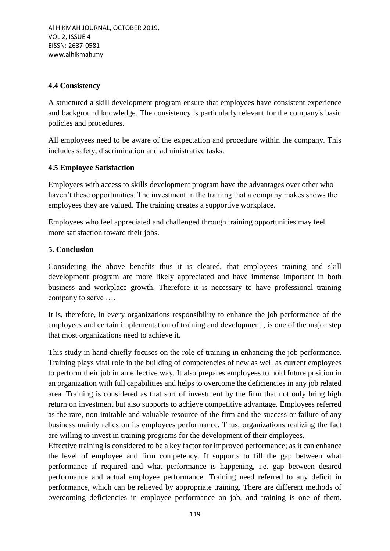## **4.4 Consistency**

A structured a skill development program ensure that employees have consistent experience and background knowledge. The consistency is particularly relevant for the company's basic policies and procedures.

All employees need to be aware of the expectation and procedure within the company. This includes safety, discrimination and administrative tasks.

# **4.5 Employee Satisfaction**

Employees with access to skills development program have the advantages over other who haven't these opportunities. The investment in the training that a company makes shows the employees they are valued. The training creates a supportive workplace.

Employees who feel appreciated and challenged through training opportunities may feel more satisfaction toward their jobs.

## **5. Conclusion**

Considering the above benefits thus it is cleared, that employees training and skill development program are more likely appreciated and have immense important in both business and workplace growth. Therefore it is necessary to have professional training company to serve ….

It is, therefore, in every organizations responsibility to enhance the job performance of the employees and certain implementation of training and development , is one of the major step that most organizations need to achieve it.

This study in hand chiefly focuses on the role of training in enhancing the job performance. Training plays vital role in the building of competencies of new as well as current employees to perform their job in an effective way. It also prepares employees to hold future position in an organization with full capabilities and helps to overcome the deficiencies in any job related area. Training is considered as that sort of investment by the firm that not only bring high return on investment but also supports to achieve competitive advantage. Employees referred as the rare, non-imitable and valuable resource of the firm and the success or failure of any business mainly relies on its employees performance. Thus, organizations realizing the fact are willing to invest in training programs for the development of their employees.

Effective training is considered to be a key factor for improved performance; as it can enhance the level of employee and firm competency. It supports to fill the gap between what performance if required and what performance is happening, i.e. gap between desired performance and actual employee performance. Training need referred to any deficit in performance, which can be relieved by appropriate training. There are different methods of overcoming deficiencies in employee performance on job, and training is one of them.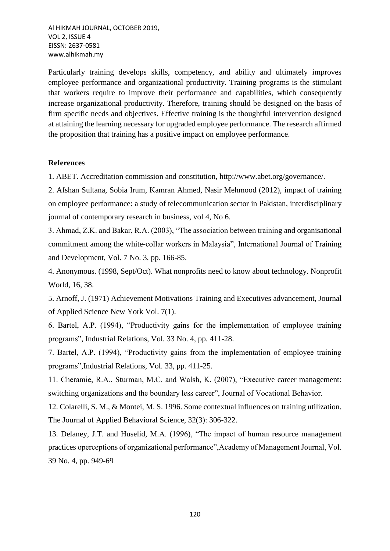Particularly training develops skills, competency, and ability and ultimately improves employee performance and organizational productivity. Training programs is the stimulant that workers require to improve their performance and capabilities, which consequently increase organizational productivity. Therefore, training should be designed on the basis of firm specific needs and objectives. Effective training is the thoughtful intervention designed at attaining the learning necessary for upgraded employee performance. The research affirmed the proposition that training has a positive impact on employee performance.

#### **References**

1. ABET. Accreditation commission and constitution, http://www.abet.org/governance/.

2. Afshan Sultana, Sobia Irum, Kamran Ahmed, Nasir Mehmood (2012), impact of training on employee performance: a study of telecommunication sector in Pakistan, interdisciplinary journal of contemporary research in business, vol 4, No 6.

3. Ahmad, Z.K. and Bakar, R.A. (2003), "The association between training and organisational commitment among the white-collar workers in Malaysia", International Journal of Training and Development, Vol. 7 No. 3, pp. 166-85.

4. Anonymous. (1998, Sept/Oct). What nonprofits need to know about technology. Nonprofit World, 16, 38.

5. Arnoff, J. (1971) Achievement Motivations Training and Executives advancement, Journal of Applied Science New York Vol. 7(1).

6. Bartel, A.P. (1994), "Productivity gains for the implementation of employee training programs", Industrial Relations, Vol. 33 No. 4, pp. 411-28.

7. Bartel, A.P. (1994), "Productivity gains from the implementation of employee training programs",Industrial Relations, Vol. 33, pp. 411-25.

11. Cheramie, R.A., Sturman, M.C. and Walsh, K. (2007), "Executive career management: switching organizations and the boundary less career", Journal of Vocational Behavior.

12. Colarelli, S. M., & Montei, M. S. 1996. Some contextual influences on training utilization. The Journal of Applied Behavioral Science, 32(3): 306-322.

13. Delaney, J.T. and Huselid, M.A. (1996), "The impact of human resource management practices operceptions of organizational performance",Academy of Management Journal, Vol. 39 No. 4, pp. 949-69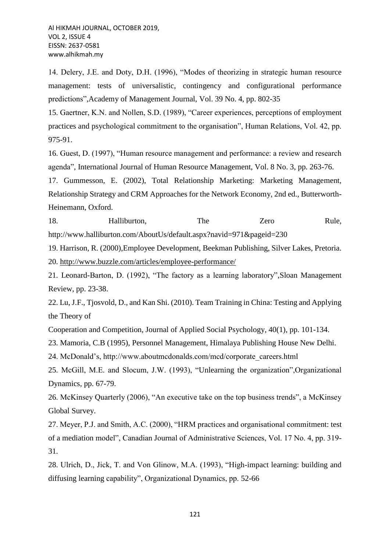14. Delery, J.E. and Doty, D.H. (1996), "Modes of theorizing in strategic human resource management: tests of universalistic, contingency and configurational performance predictions",Academy of Management Journal, Vol. 39 No. 4, pp. 802-35

15. Gaertner, K.N. and Nollen, S.D. (1989), "Career experiences, perceptions of employment practices and psychological commitment to the organisation", Human Relations, Vol. 42, pp. 975-91.

16. Guest, D. (1997), "Human resource management and performance: a review and research agenda", International Journal of Human Resource Management, Vol. 8 No. 3, pp. 263-76.

17. Gummesson, E. (2002), Total Relationship Marketing: Marketing Management, Relationship Strategy and CRM Approaches for the Network Economy, 2nd ed., Butterworth-Heinemann, Oxford.

18. Halliburton, The Zero Rule, http://www.halliburton.com/AboutUs/default.aspx?navid=971&pageid=230

19. Harrison, R. (2000),Employee Development, Beekman Publishing, Silver Lakes, Pretoria. 20.<http://www.buzzle.com/articles/employee-performance/>

21. Leonard-Barton, D. (1992), "The factory as a learning laboratory",Sloan Management Review, pp. 23-38.

22. Lu, J.F., Tjosvold, D., and Kan Shi. (2010). Team Training in China: Testing and Applying the Theory of

Cooperation and Competition, Journal of Applied Social Psychology, 40(1), pp. 101-134.

23. Mamoria, C.B (1995), Personnel Management, Himalaya Publishing House New Delhi.

24. McDonald's, http://www.aboutmcdonalds.com/mcd/corporate\_careers.html

25. McGill, M.E. and Slocum, J.W. (1993), "Unlearning the organization",Organizational Dynamics, pp. 67-79.

26. McKinsey Quarterly (2006), "An executive take on the top business trends", a McKinsey Global Survey.

27. Meyer, P.J. and Smith, A.C. (2000), "HRM practices and organisational commitment: test of a mediation model", Canadian Journal of Administrative Sciences, Vol. 17 No. 4, pp. 319- 31.

28. Ulrich, D., Jick, T. and Von Glinow, M.A. (1993), "High-impact learning: building and diffusing learning capability", Organizational Dynamics, pp. 52-66